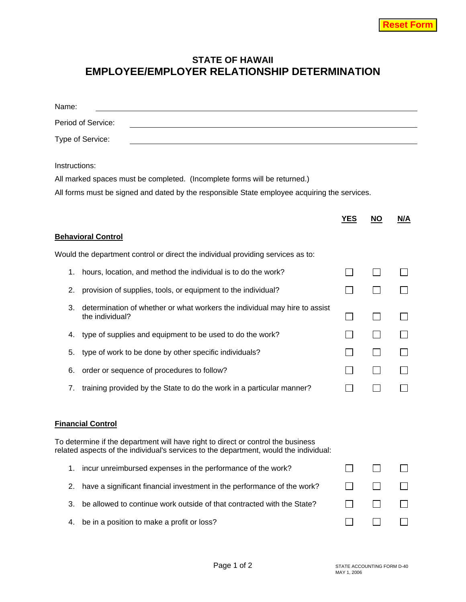## **STATE OF HAWAII EMPLOYEE/EMPLOYER RELATIONSHIP DETERMINATION**

| Name:         |                                                                                                                                                                           |            |      |     |
|---------------|---------------------------------------------------------------------------------------------------------------------------------------------------------------------------|------------|------|-----|
|               | Period of Service:                                                                                                                                                        |            |      |     |
|               | Type of Service:                                                                                                                                                          |            |      |     |
| Instructions: |                                                                                                                                                                           |            |      |     |
|               | All marked spaces must be completed. (Incomplete forms will be returned.)                                                                                                 |            |      |     |
|               | All forms must be signed and dated by the responsible State employee acquiring the services.                                                                              |            |      |     |
|               |                                                                                                                                                                           | <u>YES</u> | $NO$ | N/A |
|               | <b>Behavioral Control</b>                                                                                                                                                 |            |      |     |
|               | Would the department control or direct the individual providing services as to:                                                                                           |            |      |     |
| 1.            | hours, location, and method the individual is to do the work?                                                                                                             |            |      |     |
| 2.            | provision of supplies, tools, or equipment to the individual?                                                                                                             |            |      |     |
| 3.            | determination of whether or what workers the individual may hire to assist<br>the individual?                                                                             |            |      |     |
| 4.            | type of supplies and equipment to be used to do the work?                                                                                                                 |            |      |     |
| 5.            | type of work to be done by other specific individuals?                                                                                                                    |            |      |     |
| 6.            | order or sequence of procedures to follow?                                                                                                                                |            |      |     |
| 7.            | training provided by the State to do the work in a particular manner?                                                                                                     |            |      |     |
|               |                                                                                                                                                                           |            |      |     |
|               | <b>Financial Control</b>                                                                                                                                                  |            |      |     |
|               | To determine if the department will have right to direct or control the business<br>related aspects of the individual's services to the department, would the individual: |            |      |     |
| 1.            | incur unreimbursed expenses in the performance of the work?                                                                                                               |            |      |     |
| 2.            | have a significant financial investment in the performance of the work?                                                                                                   |            |      |     |
| 3.            | be allowed to continue work outside of that contracted with the State?                                                                                                    |            |      |     |
| 4.            | be in a position to make a profit or loss?                                                                                                                                |            |      |     |